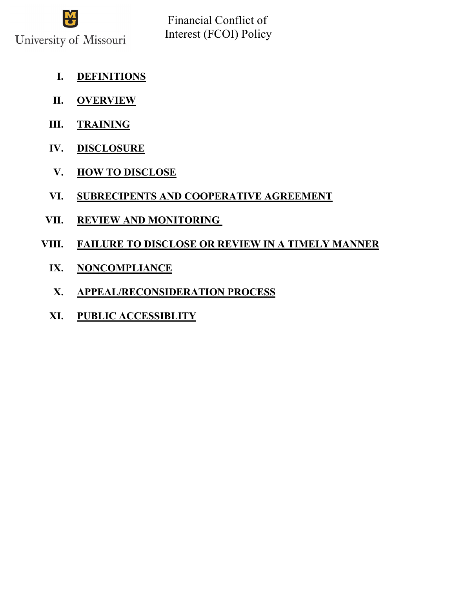

Financial Conflict of Interest (FCOI) Policy

- **I. [DEFINITIONS](#page-1-0)**
- **II. [OVERVIEW](#page-4-0)**
- **III. [TRAINING](#page-4-1)**
- **IV. [DISCLOSURE](#page-4-2)**
- **V. [HOW TO DISCLOSE](#page-6-0)**
- **VI. [SUBRECIPENTS AND COOPERATIVE AGREEMENT](#page-6-1)**
- **VII. [REVIEW AND MONITORING](#page-7-0)**
- **VIII. [FAILURE TO DISCLOSE OR REVIEW IN A TIMELY MANNER](#page-9-0)**
	- **IX. [NONCOMPLIANCE](#page-11-0)**
	- **X. [APPEAL/RECONSIDERATION PROCESS](#page-12-0)**
	- **XI. [PUBLIC ACCESSIBLITY](#page-12-1)**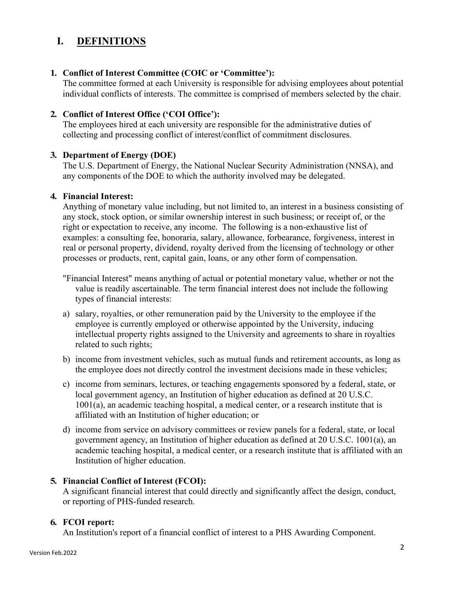# <span id="page-1-0"></span>**I. DEFINITIONS**

### **1. Conflict of Interest Committee (COIC or 'Committee'):**

The committee formed at each University is responsible for advising employees about potential individual conflicts of interests. The committee is comprised of members selected by the chair.

### **2. Conflict of Interest Office ('COI Office'):**

The employees hired at each university are responsible for the administrative duties of collecting and processing conflict of interest/conflict of commitment disclosures.

### **3. Department of Energy (DOE)**

The U.S. Department of Energy, the National Nuclear Security Administration (NNSA), and any components of the DOE to which the authority involved may be delegated.

### **4. Financial Interest:**

Anything of monetary value including, but not limited to, an interest in a business consisting of any stock, stock option, or similar ownership interest in such business; or receipt of, or the right or expectation to receive, any income. The following is a non-exhaustive list of examples: a consulting fee, honoraria, salary, allowance, forbearance, forgiveness, interest in real or personal property, dividend, royalty derived from the licensing of technology or other processes or products, rent, capital gain, loans, or any other form of compensation.

- "Financial Interest" means anything of actual or potential monetary value, whether or not the value is readily ascertainable. The term financial interest does not include the following types of financial interests:
- a) salary, royalties, or other remuneration paid by the University to the employee if the employee is currently employed or otherwise appointed by the University, inducing intellectual property rights assigned to the University and agreements to share in royalties related to such rights;
- b) income from investment vehicles, such as mutual funds and retirement accounts, as long as the employee does not directly control the investment decisions made in these vehicles;
- c) income from seminars, lectures, or teaching engagements sponsored by a federal, state, or local government agency, an Institution of higher education as defined at 20 U.S.C. 1001(a), an academic teaching hospital, a medical center, or a research institute that is affiliated with an Institution of higher education; or
- d) income from service on advisory committees or review panels for a federal, state, or local government agency, an Institution of higher education as defined at 20 U.S.C. 1001(a), an academic teaching hospital, a medical center, or a research institute that is affiliated with an Institution of higher education.

## **5. Financial Conflict of Interest (FCOI):**

A significant financial interest that could directly and significantly affect the design, conduct, or reporting of PHS-funded research.

## **6. FCOI report:**

An Institution's report of a financial conflict of interest to a PHS Awarding Component.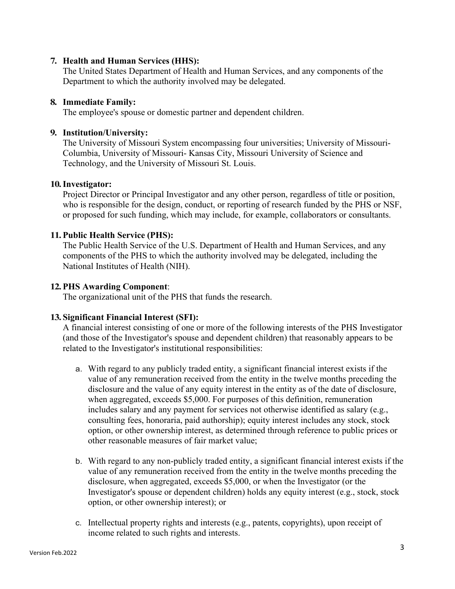#### **7. Health and Human Services (HHS):**

The United States Department of Health and Human Services, and any components of the Department to which the authority involved may be delegated.

#### **8. Immediate Family:**

The employee's spouse or domestic partner and dependent children.

#### **9. Institution/University:**

The University of Missouri System encompassing four universities; University of Missouri-Columbia, University of Missouri- Kansas City, Missouri University of Science and Technology, and the University of Missouri St. Louis.

#### **10.Investigator:**

Project Director or Principal Investigator and any other person, regardless of title or position, who is responsible for the design, conduct, or reporting of research funded by the PHS or NSF, or proposed for such funding, which may include, for example, collaborators or consultants.

#### **11.Public Health Service (PHS):**

The Public Health Service of the U.S. Department of Health and Human Services, and any components of the PHS to which the authority involved may be delegated, including the National Institutes of Health (NIH).

#### **12.PHS Awarding Component**:

The organizational unit of the PHS that funds the research.

### **13.Significant Financial Interest (SFI):**

A financial interest consisting of one or more of the following interests of the PHS Investigator (and those of the Investigator's spouse and dependent children) that reasonably appears to be related to the Investigator's institutional responsibilities:

- a. With regard to any publicly traded entity, a significant financial interest exists if the value of any remuneration received from the entity in the twelve months preceding the disclosure and the value of any equity interest in the entity as of the date of disclosure, when aggregated, exceeds \$5,000. For purposes of this definition, remuneration includes salary and any payment for services not otherwise identified as salary (e.g., consulting fees, honoraria, paid authorship); equity interest includes any stock, stock option, or other ownership interest, as determined through reference to public prices or other reasonable measures of fair market value;
- b. With regard to any non-publicly traded entity, a significant financial interest exists if the value of any remuneration received from the entity in the twelve months preceding the disclosure, when aggregated, exceeds \$5,000, or when the Investigator (or the Investigator's spouse or dependent children) holds any equity interest (e.g., stock, stock option, or other ownership interest); or
- c. Intellectual property rights and interests (e.g., patents, copyrights), upon receipt of income related to such rights and interests.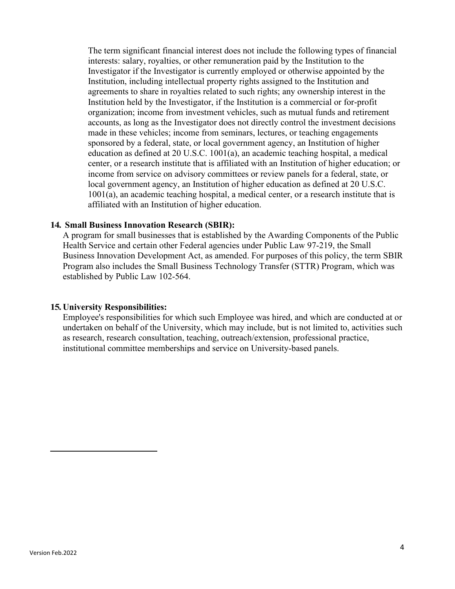The term significant financial interest does not include the following types of financial interests: salary, royalties, or other remuneration paid by the Institution to the Investigator if the Investigator is currently employed or otherwise appointed by the Institution, including intellectual property rights assigned to the Institution and agreements to share in royalties related to such rights; any ownership interest in the Institution held by the Investigator, if the Institution is a commercial or for-profit organization; income from investment vehicles, such as mutual funds and retirement accounts, as long as the Investigator does not directly control the investment decisions made in these vehicles; income from seminars, lectures, or teaching engagements sponsored by a federal, state, or local government agency, an Institution of higher education as defined at 20 U.S.C. 1001(a), an academic teaching hospital, a medical center, or a research institute that is affiliated with an Institution of higher education; or income from service on advisory committees or review panels for a federal, state, or local government agency, an Institution of higher education as defined at 20 U.S.C. 1001(a), an academic teaching hospital, a medical center, or a research institute that is affiliated with an Institution of higher education.

#### **14. Small Business Innovation Research (SBIR):**

A program for small businesses that is established by the Awarding Components of the Public Health Service and certain other Federal agencies under Public Law 97-219, the Small Business Innovation Development Act, as amended. For purposes of this policy, the term SBIR Program also includes the Small Business Technology Transfer (STTR) Program, which was established by Public Law 102-564.

#### **15.University Responsibilities:**

Employee's responsibilities for which such Employee was hired, and which are conducted at or undertaken on behalf of the University, which may include, but is not limited to, activities such as research, research consultation, teaching, outreach/extension, professional practice, institutional committee memberships and service on University-based panels.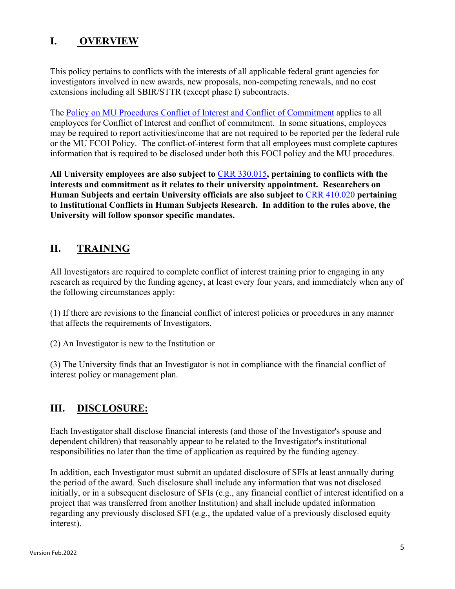# <span id="page-4-0"></span>**I. OVERVIEW**

This policy pertains to conflicts with the interests of all applicable federal grant agencies for investigators involved in new awards, new proposals, non-competing renewals, and no cost extensions including all SBIR/STTR (except phase I) subcontracts.

The Policy on MU Procedures [Conflict of Interest and Conflict of Commitment](file://rd-orcs.col.missouri.edu/research$/COI/Policy%20and%20Procedure/Procedures%20on%20COI/DRAFT%20MU_COI_Procedures%20Revised%20Feb.%202022.docx) applies to all employees for Conflict of Interest and conflict of commitment. In some situations, employees may be required to report activities/income that are not required to be reported per the federal rule or the MU FCOI Policy. The conflict-of-interest form that all employees must complete captures information that is required to be disclosed under both this FOCI policy and the MU procedures.

**All University employees are also subject to** [CRR 330.015](https://www.umsystem.edu/ums/rules/collected_rules/personnel/ch330/330.015_policy_on_conflict_of_interest)**, pertaining to conflicts with the interests and commitment as it relates to their university appointment. Researchers on Human Subjects and certain University officials are also subject to** [CRR 410.020](https://www.umsystem.edu/ums/rules/collected_rules/research/ch410/410.010_research_involving_humans_in_experiments) **pertaining to Institutional Conflicts in Human Subjects Research. In addition to the rules above**, **the University will follow sponsor specific mandates.**

# <span id="page-4-1"></span>**II. TRAINING**

All Investigators are required to complete conflict of interest training prior to engaging in any research as required by the funding agency, at least every four years, and immediately when any of the following circumstances apply:

(1) If there are revisions to the financial conflict of interest policies or procedures in any manner that affects the requirements of Investigators.

(2) An Investigator is new to the Institution or

(3) The University finds that an Investigator is not in compliance with the financial conflict of interest policy or management plan.

# <span id="page-4-2"></span>**III. DISCLOSURE:**

Each Investigator shall disclose financial interests (and those of the Investigator's spouse and dependent children) that reasonably appear to be related to the Investigator's institutional responsibilities no later than the time of application as required by the funding agency.

In addition, each Investigator must submit an updated disclosure of SFIs at least annually during the period of the award. Such disclosure shall include any information that was not disclosed initially, or in a subsequent disclosure of SFIs (e.g., any financial conflict of interest identified on a project that was transferred from another Institution) and shall include updated information regarding any previously disclosed SFI (e.g., the updated value of a previously disclosed equity interest).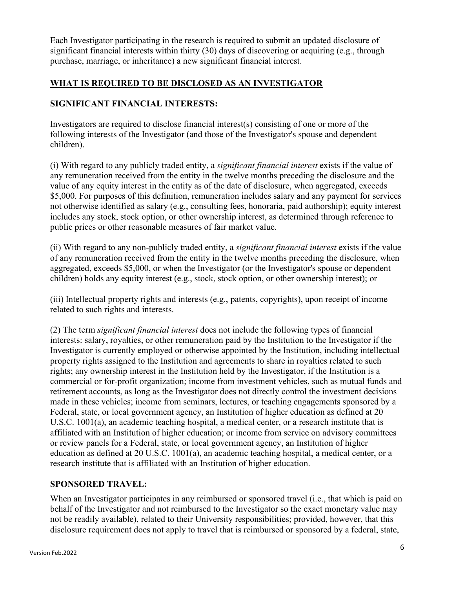Each Investigator participating in the research is required to submit an updated disclosure of significant financial interests within thirty (30) days of discovering or acquiring (e.g., through purchase, marriage, or inheritance) a new significant financial interest.

### **WHAT IS REQUIRED TO BE DISCLOSED AS AN INVESTIGATOR**

#### **SIGNIFICANT FINANCIAL INTERESTS:**

Investigators are required to disclose financial interest(s) consisting of one or more of the following interests of the Investigator (and those of the Investigator's spouse and dependent children).

(i) With regard to any publicly traded entity, a *significant financial interest* exists if the value of any remuneration received from the entity in the twelve months preceding the disclosure and the value of any equity interest in the entity as of the date of disclosure, when aggregated, exceeds \$5,000. For purposes of this definition, remuneration includes salary and any payment for services not otherwise identified as salary (e.g., consulting fees, honoraria, paid authorship); equity interest includes any stock, stock option, or other ownership interest, as determined through reference to public prices or other reasonable measures of fair market value.

(ii) With regard to any non-publicly traded entity, a *significant financial interest* exists if the value of any remuneration received from the entity in the twelve months preceding the disclosure, when aggregated, exceeds \$5,000, or when the Investigator (or the Investigator's spouse or dependent children) holds any equity interest (e.g., stock, stock option, or other ownership interest); or

(iii) Intellectual property rights and interests (e.g., patents, copyrights), upon receipt of income related to such rights and interests.

(2) The term *significant financial interest* does not include the following types of financial interests: salary, royalties, or other remuneration paid by the Institution to the Investigator if the Investigator is currently employed or otherwise appointed by the Institution, including intellectual property rights assigned to the Institution and agreements to share in royalties related to such rights; any ownership interest in the Institution held by the Investigator, if the Institution is a commercial or for-profit organization; income from investment vehicles, such as mutual funds and retirement accounts, as long as the Investigator does not directly control the investment decisions made in these vehicles; income from seminars, lectures, or teaching engagements sponsored by a Federal, state, or local government agency, an Institution of higher education as defined at 20 U.S.C. 1001(a), an academic teaching hospital, a medical center, or a research institute that is affiliated with an Institution of higher education; or income from service on advisory committees or review panels for a Federal, state, or local government agency, an Institution of higher education as defined at 20 U.S.C. 1001(a), an academic teaching hospital, a medical center, or a research institute that is affiliated with an Institution of higher education.

#### **SPONSORED TRAVEL:**

When an Investigator participates in any reimbursed or sponsored travel (i.e., that which is paid on behalf of the Investigator and not reimbursed to the Investigator so the exact monetary value may not be readily available), related to their University responsibilities; provided, however, that this disclosure requirement does not apply to travel that is reimbursed or sponsored by a federal, state,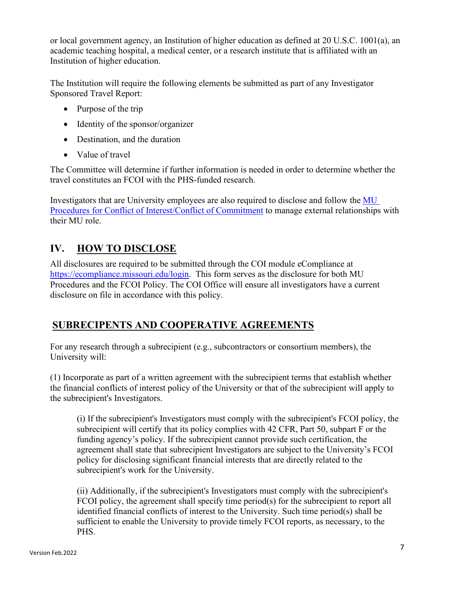or local government agency, an Institution of higher education as defined at 20 U.S.C. 1001(a), an academic teaching hospital, a medical center, or a research institute that is affiliated with an Institution of higher education.

The Institution will require the following elements be submitted as part of any Investigator Sponsored Travel Report:

- Purpose of the trip
- Identity of the sponsor/organizer
- Destination, and the duration
- Value of travel

The Committee will determine if further information is needed in order to determine whether the travel constitutes an FCOI with the PHS-funded research.

Investigators that are University employees are also required to disclose and follow the [MU](file://rd-orcs.col.missouri.edu/research$/COI/Policy%20and%20Procedure/Procedures%20on%20COI/DRAFT%20MU_COI_Procedures%20Revised%20Feb.%202022.docx)  [Procedures for Conflict of Interest/Conflict of Commitment](file://rd-orcs.col.missouri.edu/research$/COI/Policy%20and%20Procedure/Procedures%20on%20COI/DRAFT%20MU_COI_Procedures%20Revised%20Feb.%202022.docx) to manage external relationships with their MU role.

# <span id="page-6-0"></span>**IV. HOW TO DISCLOSE**

All disclosures are required to be submitted through the COI module eCompliance at [https://ecompliance.missouri.edu/login.](https://ecompliance.missouri.edu/login) This form serves as the disclosure for both MU Procedures and the FCOI Policy. The COI Office will ensure all investigators have a current disclosure on file in accordance with this policy.

# <span id="page-6-1"></span>**SUBRECIPENTS AND COOPERATIVE AGREEMENTS**

For any research through a subrecipient (e.g., subcontractors or consortium members), the University will:

(1) Incorporate as part of a written agreement with the subrecipient terms that establish whether the financial conflicts of interest policy of the University or that of the subrecipient will apply to the subrecipient's Investigators.

(i) If the subrecipient's Investigators must comply with the subrecipient's FCOI policy, the subrecipient will certify that its policy complies with 42 CFR, Part 50, subpart F or the funding agency's policy. If the subrecipient cannot provide such certification, the agreement shall state that subrecipient Investigators are subject to the University's FCOI policy for disclosing significant financial interests that are directly related to the subrecipient's work for the University.

(ii) Additionally, if the subrecipient's Investigators must comply with the subrecipient's FCOI policy, the agreement shall specify time period(s) for the subrecipient to report all identified financial conflicts of interest to the University. Such time period(s) shall be sufficient to enable the University to provide timely FCOI reports, as necessary, to the PHS.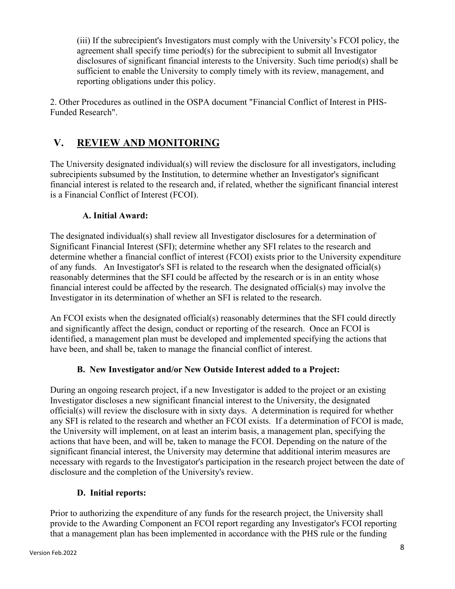(iii) If the subrecipient's Investigators must comply with the University's FCOI policy, the agreement shall specify time period(s) for the subrecipient to submit all Investigator disclosures of significant financial interests to the University. Such time period(s) shall be sufficient to enable the University to comply timely with its review, management, and reporting obligations under this policy.

2. Other Procedures as outlined in the OSPA document "Financial Conflict of Interest in PHS-Funded Research".

# <span id="page-7-0"></span>**V. REVIEW AND MONITORING**

The University designated individual(s) will review the disclosure for all investigators, including subrecipients subsumed by the Institution, to determine whether an Investigator's significant financial interest is related to the research and, if related, whether the significant financial interest is a Financial Conflict of Interest (FCOI).

### **A. Initial Award:**

The designated individual(s) shall review all Investigator disclosures for a determination of Significant Financial Interest (SFI); determine whether any SFI relates to the research and determine whether a financial conflict of interest (FCOI) exists prior to the University expenditure of any funds. An Investigator's SFI is related to the research when the designated official(s) reasonably determines that the SFI could be affected by the research or is in an entity whose financial interest could be affected by the research. The designated official(s) may involve the Investigator in its determination of whether an SFI is related to the research.

An FCOI exists when the designated official(s) reasonably determines that the SFI could directly and significantly affect the design, conduct or reporting of the research. Once an FCOI is identified, a management plan must be developed and implemented specifying the actions that have been, and shall be, taken to manage the financial conflict of interest.

### **B. New Investigator and/or New Outside Interest added to a Project:**

During an ongoing research project, if a new Investigator is added to the project or an existing Investigator discloses a new significant financial interest to the University, the designated official(s) will review the disclosure with in sixty days. A determination is required for whether any SFI is related to the research and whether an FCOI exists. If a determination of FCOI is made, the University will implement, on at least an interim basis, a management plan, specifying the actions that have been, and will be, taken to manage the FCOI. Depending on the nature of the significant financial interest, the University may determine that additional interim measures are necessary with regards to the Investigator's participation in the research project between the date of disclosure and the completion of the University's review.

## **D. Initial reports:**

Prior to authorizing the expenditure of any funds for the research project, the University shall provide to the Awarding Component an FCOI report regarding any Investigator's FCOI reporting that a management plan has been implemented in accordance with the PHS rule or the funding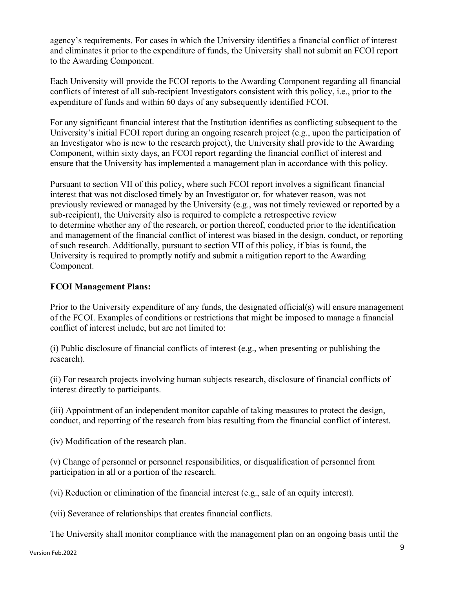agency's requirements. For cases in which the University identifies a financial conflict of interest and eliminates it prior to the expenditure of funds, the University shall not submit an FCOI report to the Awarding Component.

Each University will provide the FCOI reports to the Awarding Component regarding all financial conflicts of interest of all sub-recipient Investigators consistent with this policy, i.e., prior to the expenditure of funds and within 60 days of any subsequently identified FCOI.

For any significant financial interest that the Institution identifies as conflicting subsequent to the University's initial FCOI report during an ongoing research project (e.g., upon the participation of an Investigator who is new to the research project), the University shall provide to the Awarding Component, within sixty days, an FCOI report regarding the financial conflict of interest and ensure that the University has implemented a management plan in accordance with this policy.

Pursuant to section VII of this policy, where such FCOI report involves a significant financial interest that was not disclosed timely by an Investigator or, for whatever reason, was not previously reviewed or managed by the University (e.g., was not timely reviewed or reported by a sub-recipient), the University also is required to complete a retrospective review to determine whether any of the research, or portion thereof, conducted prior to the identification and management of the financial conflict of interest was biased in the design, conduct, or reporting of such research. Additionally, pursuant to section VII of this policy, if bias is found, the University is required to promptly notify and submit a mitigation report to the Awarding Component.

### **FCOI Management Plans:**

Prior to the University expenditure of any funds, the designated official(s) will ensure management of the FCOI. Examples of conditions or restrictions that might be imposed to manage a financial conflict of interest include, but are not limited to:

(i) Public disclosure of financial conflicts of interest (e.g., when presenting or publishing the research).

(ii) For research projects involving human subjects research, disclosure of financial conflicts of interest directly to participants.

(iii) Appointment of an independent monitor capable of taking measures to protect the design, conduct, and reporting of the research from bias resulting from the financial conflict of interest.

(iv) Modification of the research plan.

(v) Change of personnel or personnel responsibilities, or disqualification of personnel from participation in all or a portion of the research.

(vi) Reduction or elimination of the financial interest (e.g., sale of an equity interest).

(vii) Severance of relationships that creates financial conflicts.

The University shall monitor compliance with the management plan on an ongoing basis until the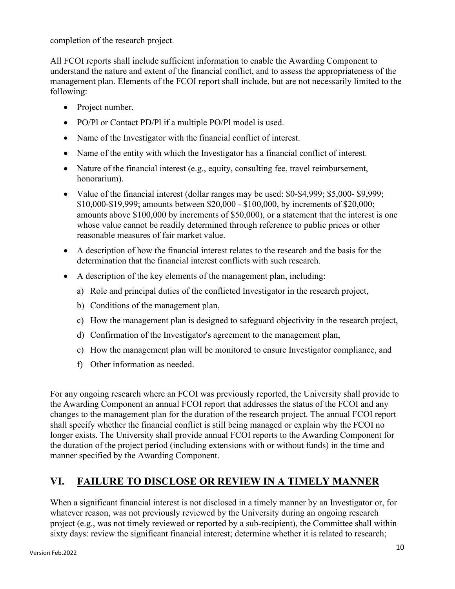completion of the research project.

All FCOI reports shall include sufficient information to enable the Awarding Component to understand the nature and extent of the financial conflict, and to assess the appropriateness of the management plan. Elements of the FCOI report shall include, but are not necessarily limited to the following:

- Project number.
- PO/Pl or Contact PD/Pl if a multiple PO/Pl model is used.
- Name of the Investigator with the financial conflict of interest.
- Name of the entity with which the Investigator has a financial conflict of interest.
- Nature of the financial interest (e.g., equity, consulting fee, travel reimbursement, honorarium).
- Value of the financial interest (dollar ranges may be used: \$0-\$4,999; \$5,000-\$9,999; \$10,000-\$19,999; amounts between \$20,000 - \$100,000, by increments of \$20,000; amounts above \$100,000 by increments of \$50,000), or a statement that the interest is one whose value cannot be readily determined through reference to public prices or other reasonable measures of fair market value.
- A description of how the financial interest relates to the research and the basis for the determination that the financial interest conflicts with such research.
- A description of the key elements of the management plan, including:
	- a) Role and principal duties of the conflicted Investigator in the research project,
	- b) Conditions of the management plan,
	- c) How the management plan is designed to safeguard objectivity in the research project,
	- d) Confirmation of the Investigator's agreement to the management plan,
	- e) How the management plan will be monitored to ensure Investigator compliance, and
	- f) Other information as needed.

For any ongoing research where an FCOI was previously reported, the University shall provide to the Awarding Component an annual FCOI report that addresses the status of the FCOI and any changes to the management plan for the duration of the research project. The annual FCOI report shall specify whether the financial conflict is still being managed or explain why the FCOI no longer exists. The University shall provide annual FCOI reports to the Awarding Component for the duration of the project period (including extensions with or without funds) in the time and manner specified by the Awarding Component.

# <span id="page-9-0"></span>**VI. FAILURE TO DISCLOSE OR REVIEW IN A TIMELY MANNER**

When a significant financial interest is not disclosed in a timely manner by an Investigator or, for whatever reason, was not previously reviewed by the University during an ongoing research project (e.g., was not timely reviewed or reported by a sub-recipient), the Committee shall within sixty days: review the significant financial interest; determine whether it is related to research;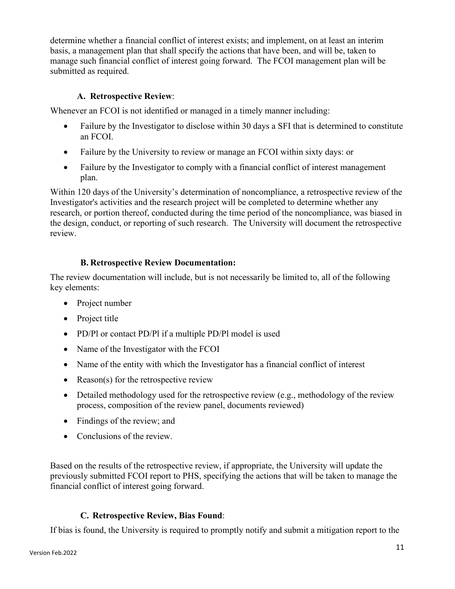determine whether a financial conflict of interest exists; and implement, on at least an interim basis, a management plan that shall specify the actions that have been, and will be, taken to manage such financial conflict of interest going forward. The FCOI management plan will be submitted as required.

### **A. Retrospective Review**:

Whenever an FCOI is not identified or managed in a timely manner including:

- Failure by the Investigator to disclose within 30 days a SFI that is determined to constitute an FCOI.
- Failure by the University to review or manage an FCOI within sixty days: or
- Failure by the Investigator to comply with a financial conflict of interest management plan.

Within 120 days of the University's determination of noncompliance, a retrospective review of the Investigator's activities and the research project will be completed to determine whether any research, or portion thereof, conducted during the time period of the noncompliance, was biased in the design, conduct, or reporting of such research. The University will document the retrospective review.

### **B. Retrospective Review Documentation:**

The review documentation will include, but is not necessarily be limited to, all of the following key elements:

- Project number
- Project title
- PD/Pl or contact PD/Pl if a multiple PD/Pl model is used
- Name of the Investigator with the FCOI
- Name of the entity with which the Investigator has a financial conflict of interest
- Reason(s) for the retrospective review
- Detailed methodology used for the retrospective review (e.g., methodology of the review process, composition of the review panel, documents reviewed)
- Findings of the review; and
- Conclusions of the review.

Based on the results of the retrospective review, if appropriate, the University will update the previously submitted FCOI report to PHS, specifying the actions that will be taken to manage the financial conflict of interest going forward.

## **C. Retrospective Review, Bias Found**:

If bias is found, the University is required to promptly notify and submit a mitigation report to the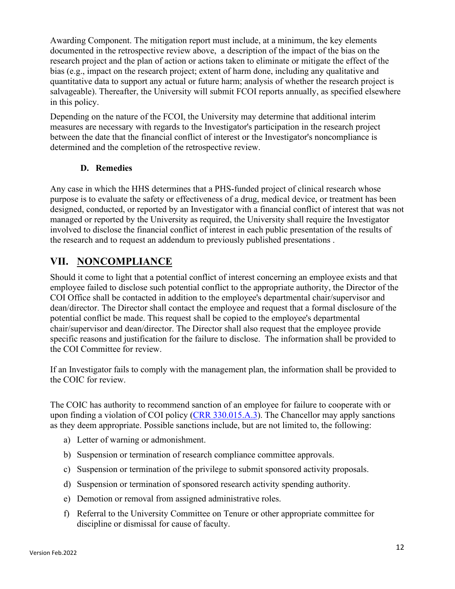Awarding Component. The mitigation report must include, at a minimum, the key elements documented in the retrospective review above, a description of the impact of the bias on the research project and the plan of action or actions taken to eliminate or mitigate the effect of the bias (e.g., impact on the research project; extent of harm done, including any qualitative and quantitative data to support any actual or future harm; analysis of whether the research project is salvageable). Thereafter, the University will submit FCOI reports annually, as specified elsewhere in this policy.

Depending on the nature of the FCOI, the University may determine that additional interim measures are necessary with regards to the Investigator's participation in the research project between the date that the financial conflict of interest or the Investigator's noncompliance is determined and the completion of the retrospective review.

### **D. Remedies**

Any case in which the HHS determines that a PHS-funded project of clinical research whose purpose is to evaluate the safety or effectiveness of a drug, medical device, or treatment has been designed, conducted, or reported by an Investigator with a financial conflict of interest that was not managed or reported by the University as required, the University shall require the Investigator involved to disclose the financial conflict of interest in each public presentation of the results of the research and to request an addendum to previously published presentations .

# <span id="page-11-0"></span>**VII. NONCOMPLIANCE**

Should it come to light that a potential conflict of interest concerning an employee exists and that employee failed to disclose such potential conflict to the appropriate authority, the Director of the COI Office shall be contacted in addition to the employee's departmental chair/supervisor and dean/director. The Director shall contact the employee and request that a formal disclosure of the potential conflict be made. This request shall be copied to the employee's departmental chair/supervisor and dean/director. The Director shall also request that the employee provide specific reasons and justification for the failure to disclose. The information shall be provided to the COI Committee for review.

If an Investigator fails to comply with the management plan, the information shall be provided to the COIC for review.

The COIC has authority to recommend sanction of an employee for failure to cooperate with or upon finding a violation of COI policy [\(CRR 330.015.A.3\)](https://www.umsystem.edu/ums/rules/collected_rules/personnel/ch330/330.015_policy_on_conflict_of_interest). The Chancellor may apply sanctions as they deem appropriate. Possible sanctions include, but are not limited to, the following:

- a) Letter of warning or admonishment.
- b) Suspension or termination of research compliance committee approvals.
- c) Suspension or termination of the privilege to submit sponsored activity proposals.
- d) Suspension or termination of sponsored research activity spending authority.
- e) Demotion or removal from assigned administrative roles.
- f) Referral to the University Committee on Tenure or other appropriate committee for discipline or dismissal for cause of faculty.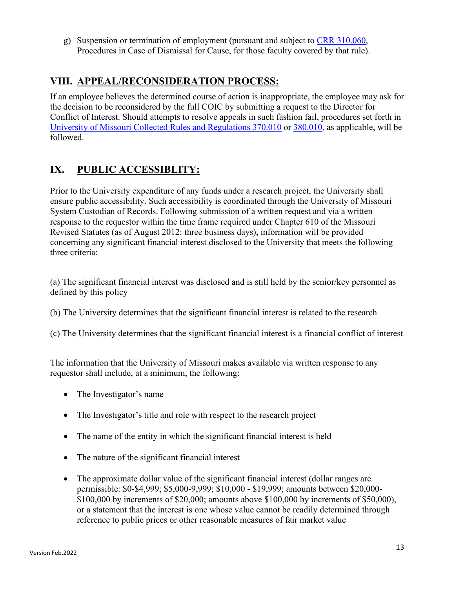g) Suspension or termination of employment (pursuant and subject to [CRR 310.060,](https://www.umsystem.edu/ums/rules/collected_rules/faculty/ch310/310.060_procedures_in_case_of_dismissal_for_cause) Procedures in Case of Dismissal for Cause, for those faculty covered by that rule).

# <span id="page-12-0"></span>**VIII. APPEAL/RECONSIDERATION PROCESS:**

If an employee believes the determined course of action is inappropriate, the employee may ask for the decision to be reconsidered by the full COIC by submitting a request to the Director for Conflict of Interest. Should attempts to resolve appeals in such fashion fail, procedures set forth in [University of Missouri Collected Rules and Regulations 370.010](https://www.umsystem.edu/ums/rules/collected_rules/grievance/ch370/370.010_Academic_Grievance_Procedure) or [380.010,](https://www.umsystem.edu/ums/rules/collected_rules/grievance/ch380/380.010_grievance_procedure_administrative_service_support_staff) as applicable, will be followed.

# <span id="page-12-1"></span>**IX. PUBLIC ACCESSIBLITY:**

Prior to the University expenditure of any funds under a research project, the University shall ensure public accessibility. Such accessibility is coordinated through the University of Missouri System Custodian of Records. Following submission of a written request and via a written response to the requestor within the time frame required under Chapter 610 of the Missouri Revised Statutes (as of August 2012: three business days), information will be provided concerning any significant financial interest disclosed to the University that meets the following three criteria:

(a) The significant financial interest was disclosed and is still held by the senior/key personnel as defined by this policy

- (b) The University determines that the significant financial interest is related to the research
- (c) The University determines that the significant financial interest is a financial conflict of interest

The information that the University of Missouri makes available via written response to any requestor shall include, at a minimum, the following:

- The Investigator's name
- The Investigator's title and role with respect to the research project
- The name of the entity in which the significant financial interest is held
- The nature of the significant financial interest
- The approximate dollar value of the significant financial interest (dollar ranges are permissible: \$0-\$4,999; \$5,000-9,999; \$10,000 - \$19,999; amounts between \$20,000- \$100,000 by increments of \$20,000; amounts above \$100,000 by increments of \$50,000), or a statement that the interest is one whose value cannot be readily determined through reference to public prices or other reasonable measures of fair market value